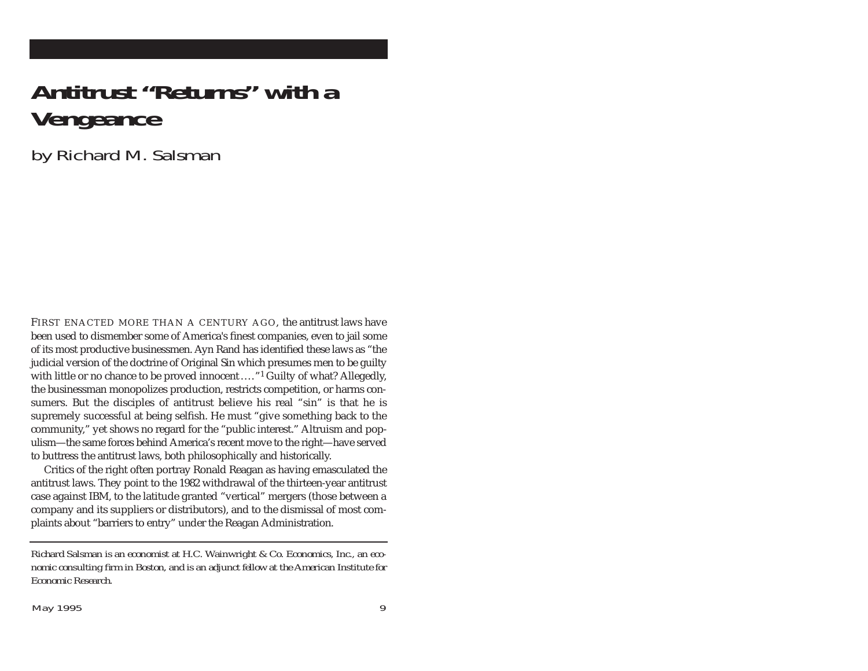## **Antitrust "Returns" with a Vengeance**

by Richard M. Salsman

FIRST ENACTED MORE THAN A CENTURY AGO, the antitrust laws have been used to dismember some of America's finest companies, even to jail some of its most productive businessmen. Ayn Rand has identified these laws as "the judicial version of the doctrine of Original Sin which presumes men to be guilty with little or no chance to be proved innocent...."<sup>1</sup> Guilty of what? Allegedly, the businessman monopolizes production, restricts competition, or harms consumers. But the disciples of antitrust believe his real "sin" is that he is supremely successful at being selfish. He must "give something back to the community," yet shows no regard for the "public interest." Altruism and populism—the same forces behind America's recent move to the right—have served to buttress the antitrust laws, both philosophically and historically.

Critics of the right often portray Ronald Reagan as having emasculated the antitrust laws. They point to the 1982 withdrawal of the thirteen-year antitrust case against IBM, to the latitude granted "vertical" mergers (those between a company and its suppliers or distributors), and to the dismissal of most complaints about "barriers to entry" under the Reagan Administration.

*Richard Salsman is an economist at H.C. Wainwright & Co. Economics, Inc., an economic consulting firm in Boston, and is an adjunct fellow at the American Institute for Economic Research.*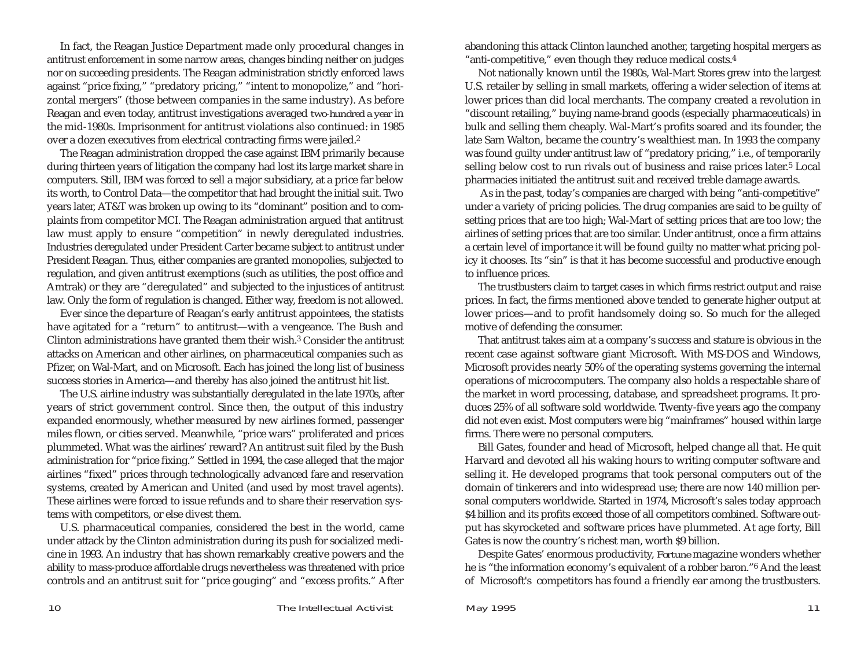In fact, the Reagan Justice Department made only procedural changes in antitrust enforcement in some narrow areas, changes binding neither on judges nor on succeeding presidents. The Reagan administration strictly enforced laws against "price fixing," "predatory pricing," "intent to monopolize," and "horizontal mergers" (those between companies in the same industry). As before Reagan and even today, antitrust investigations averaged *two-hundred a year* in the mid-1980s. Imprisonment for antitrust violations also continued: in 1985 over a dozen executives from electrical contracting firms were jailed.2

The Reagan administration dropped the case against IBM primarily because during thirteen years of litigation the company had lost its large market share in computers. Still, IBM was forced to sell a major subsidiary, at a price far below its worth, to Control Data—the competitor that had brought the initial suit. Two years later, AT&T was broken up owing to its "dominant" position and to complaints from competitor MCI. The Reagan administration argued that antitrust law must apply to ensure "competition" in newly deregulated industries. Industries deregulated under President Carter became subject to antitrust under President Reagan. Thus, either companies are granted monopolies, subjected to regulation, and given antitrust exemptions (such as utilities, the post office and Amtrak) or they are "deregulated" and subjected to the injustices of antitrust law. Only the form of regulation is changed. Either way, freedom is not allowed.

Ever since the departure of Reagan's early antitrust appointees, the statists have agitated for a "return" to antitrust—with a vengeance. The Bush and Clinton administrations have granted them their wish.3 Consider the antitrust attacks on American and other airlines, on pharmaceutical companies such as Pfizer, on Wal-Mart, and on Microsoft. Each has joined the long list of business success stories in America—and thereby has also joined the antitrust hit list.

The U.S. airline industry was substantially deregulated in the late 1970s, after years of strict government control. Since then, the output of this industry expanded enormously, whether measured by new airlines formed, passenger miles flown, or cities served. Meanwhile, "price wars" proliferated and prices plummeted. What was the airlines' reward? An antitrust suit filed by the Bush administration for "price fixing." Settled in 1994, the case alleged that the major airlines "fixed" prices through technologically advanced fare and reservation systems, created by American and United (and used by most travel agents). These airlines were forced to issue refunds and to share their reservation systems with competitors, or else divest them.

U.S. pharmaceutical companies, considered the best in the world, came under attack by the Clinton administration during its push for socialized medicine in 1993. An industry that has shown remarkably creative powers and the ability to mass-produce affordable drugs nevertheless was threatened with price controls and an antitrust suit for "price gouging" and "excess profits." After abandoning this attack Clinton launched another, targeting hospital mergers as "anti-competitive," even though they reduce medical costs.4

Not nationally known until the 1980s, Wal-Mart Stores grew into the largest U.S. retailer by selling in small markets, offering a wider selection of items at lower prices than did local merchants. The company created a revolution in "discount retailing," buying name-brand goods (especially pharmaceuticals) in bulk and selling them cheaply. Wal-Mart's profits soared and its founder, the late Sam Walton, became the country's wealthiest man. In 1993 the company was found guilty under antitrust law of "predatory pricing," i.e., of temporarily selling below cost to run rivals out of business and raise prices later.5 Local pharmacies initiated the antitrust suit and received treble damage awards.

As in the past, today's companies are charged with being "anti-competitive" under a variety of pricing policies. The drug companies are said to be guilty of setting prices that are too high; Wal-Mart of setting prices that are too low; the airlines of setting prices that are too similar. Under antitrust, once a firm attains a certain level of importance it will be found guilty no matter what pricing policy it chooses. Its "sin" is that it has become successful and productive enough to influence prices.

The trustbusters claim to target cases in which firms restrict output and raise prices. In fact, the firms mentioned above tended to generate higher output at lower prices—and to profit handsomely doing so. So much for the alleged motive of defending the consumer.

That antitrust takes aim at a company's success and stature is obvious in the recent case against software giant Microsoft. With MS-DOS and Windows, Microsoft provides nearly 50% of the operating systems governing the internal operations of microcomputers. The company also holds a respectable share of the market in word processing, database, and spreadsheet programs. It produces 25% of all software sold worldwide. Twenty-five years ago the company did not even exist. Most computers were big "mainframes" housed within large firms. There were no personal computers.

Bill Gates, founder and head of Microsoft, helped change all that. He quit Harvard and devoted all his waking hours to writing computer software and selling it. He developed programs that took personal computers out of the domain of tinkerers and into widespread use; there are now 140 million personal computers worldwide. Started in 1974, Microsoft's sales today approach \$4 billion and its profits exceed those of all competitors combined. Software output has skyrocketed and software prices have plummeted. At age forty, Bill Gates is now the country's richest man, worth \$9 billion.

Despite Gates' enormous productivity, *Fortune* magazine wonders whether he is "the information economy's equivalent of a robber baron."6 And the least of Microsoft's competitors has found a friendly ear among the trustbusters.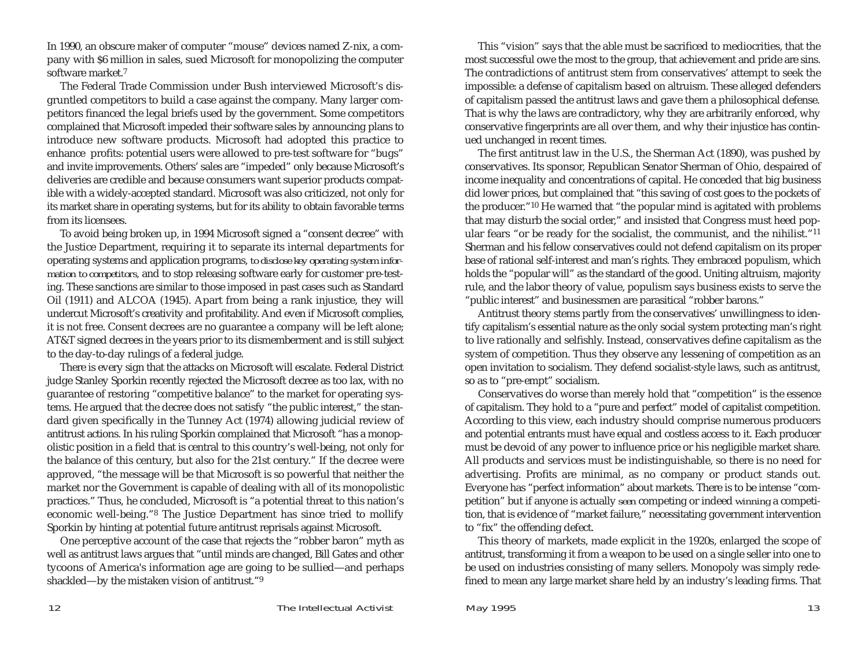In 1990, an obscure maker of computer "mouse" devices named Z-nix, a company with \$6 million in sales, sued Microsoft for monopolizing the computer software market.7

The Federal Trade Commission under Bush interviewed Microsoft's disgruntled competitors to build a case against the company. Many larger competitors financed the legal briefs used by the government. Some competitors complained that Microsoft impeded their software sales by announcing plans to introduce new software products. Microsoft had adopted this practice to enhance profits: potential users were allowed to pre-test software for "bugs" and invite improvements. Others' sales are "impeded" only because Microsoft's deliveries are credible and because consumers want superior products compatible with a widely-accepted standard. Microsoft was also criticized, not only for its market share in operating systems, but for its ability to obtain favorable terms from its licensees.

To avoid being broken up, in 1994 Microsoft signed a "consent decree" with the Justice Department, requiring it to separate its internal departments for operating systems and application programs, *to disclose key operating system information to competitors,* and to stop releasing software early for customer pre-testing. These sanctions are similar to those imposed in past cases such as Standard Oil (1911) and ALCOA (1945). Apart from being a rank injustice, they will undercut Microsoft's creativity and profitability. And even if Microsoft complies, it is not free. Consent decrees are no guarantee a company will be left alone; AT&T signed decrees in the years prior to its dismemberment and is still subject to the day-to-day rulings of a federal judge.

There is every sign that the attacks on Microsoft will escalate. Federal District judge Stanley Sporkin recently rejected the Microsoft decree as too lax, with no guarantee of restoring "competitive balance" to the market for operating systems. He argued that the decree does not satisfy "the public interest," the standard given specifically in the Tunney Act (1974) allowing judicial review of antitrust actions. In his ruling Sporkin complained that Microsoft "has a monopolistic position in a field that is central to this country's well-being, not only for the balance of this century, but also for the 21st century." If the decree were approved, "the message will be that Microsoft is so powerful that neither the market nor the Government is capable of dealing with all of its monopolistic practices." Thus, he concluded, Microsoft is "a potential threat to this nation's economic well-being."8 The Justice Department has since tried to mollify Sporkin by hinting at potential future antitrust reprisals against Microsoft.

One perceptive account of the case that rejects the "robber baron" myth as well as antitrust laws argues that "until minds are changed, Bill Gates and other tycoons of America's information age are going to be sullied—and perhaps shackled—by the mistaken vision of antitrust."9

This "vision" says that the able must be sacrificed to mediocrities, that the most successful owe the most to the group, that achievement and pride are sins. The contradictions of antitrust stem from conservatives' attempt to seek the impossible: a defense of capitalism based on altruism. These alleged defenders of capitalism passed the antitrust laws and gave them a philosophical defense. That is why the laws are contradictory, why they are arbitrarily enforced, why conservative fingerprints are all over them, and why their injustice has continued unchanged in recent times.

The first antitrust law in the U.S., the Sherman Act (1890), was pushed by conservatives. Its sponsor, Republican Senator Sherman of Ohio, despaired of income inequality and concentrations of capital. He conceded that big business did lower prices, but complained that "this saving of cost goes to the pockets of the producer."10 He warned that "the popular mind is agitated with problems that may disturb the social order," and insisted that Congress must heed popular fears "or be ready for the socialist, the communist, and the nihilist."11 Sherman and his fellow conservatives could not defend capitalism on its proper base of rational self-interest and man's rights. They embraced populism, which holds the "popular will" as the standard of the good. Uniting altruism, majority rule, and the labor theory of value, populism says business exists to serve the "public interest" and businessmen are parasitical "robber barons."

Antitrust theory stems partly from the conservatives' unwillingness to identify capitalism's essential nature as the only social system protecting man's right to live rationally and selfishly. Instead, conservatives define capitalism as the system of competition. Thus they observe any lessening of competition as an open invitation to socialism. They defend socialist-style laws, such as antitrust, so as to "pre-empt" socialism.

Conservatives do worse than merely hold that "competition" is the essence of capitalism. They hold to a "pure and perfect" model of capitalist competition. According to this view, each industry should comprise numerous producers and potential entrants must have equal and costless access to it. Each producer must be devoid of any power to influence price or his negligible market share. All products and services must be indistinguishable, so there is no need for advertising. Profits are minimal, as no company or product stands out. Everyone has "perfect information" about markets. There is to be intense "competition" but if anyone is actually *seen* competing or indeed *winning* a competition, that is evidence of "market failure," necessitating government intervention to "fix" the offending defect.

This theory of markets, made explicit in the 1920s, enlarged the scope of antitrust, transforming it from a weapon to be used on a single seller into one to be used on industries consisting of many sellers. Monopoly was simply redefined to mean any large market share held by an industry's leading firms. That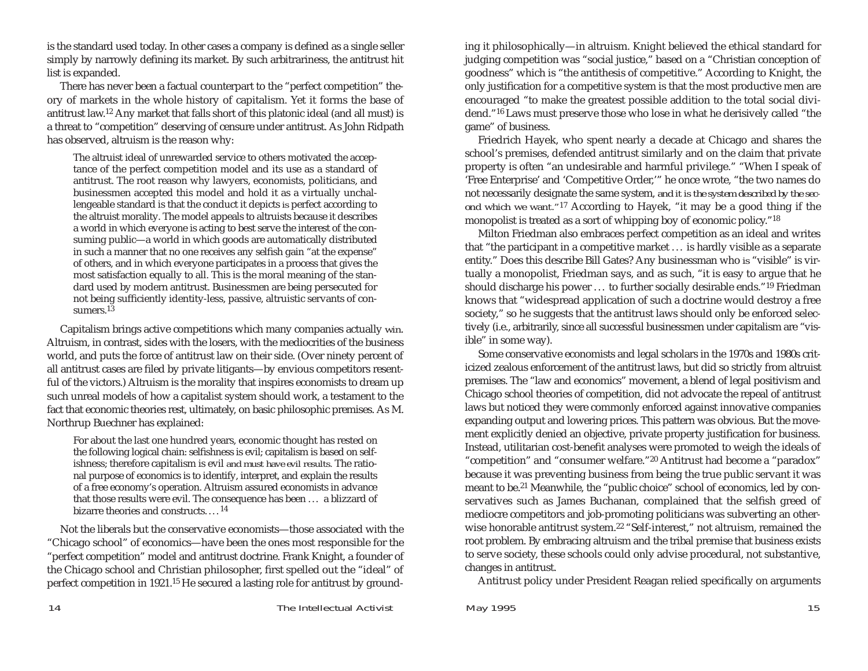is the standard used today. In other cases a company is defined as a single seller simply by narrowly defining its market. By such arbitrariness, the antitrust hit list is expanded.

There has never been a factual counterpart to the "perfect competition" theory of markets in the whole history of capitalism. Yet it forms the base of antitrust law.12 Any market that falls short of this platonic ideal (and all must) is a threat to "competition" deserving of censure under antitrust. As John Ridpath has observed, altruism is the reason why:

The altruist ideal of unrewarded service to others motivated the acceptance of the perfect competition model and its use as a standard of antitrust. The root reason why lawyers, economists, politicians, and businessmen accepted this model and hold it as a virtually unchallengeable standard is that the conduct it depicts *is* perfect according to the altruist morality. The model appeals to altruists because it describes a world in which everyone is acting to best serve the interest of the consuming public—a world in which goods are automatically distributed in such a manner that no one receives any selfish gain "at the expense" of others, and in which everyone participates in a process that gives the most satisfaction equally to all. This is the moral meaning of the standard used by modern antitrust. Businessmen are being persecuted for not being sufficiently identity-less, passive, altruistic servants of consumers.<sup>13</sup>

Capitalism brings active competitions which many companies actually *win*. Altruism, in contrast, sides with the losers, with the mediocrities of the business world, and puts the force of antitrust law on their side. (Over ninety percent of all antitrust cases are filed by private litigants—by envious competitors resentful of the victors.) Altruism is the morality that inspires economists to dream up such unreal models of how a capitalist system should work, a testament to the fact that economic theories rest, ultimately, on basic philosophic premises. As M. Northrup Buechner has explained:

For about the last one hundred years, economic thought has rested on the following logical chain: selfishness is evil; capitalism is based on selfishness; therefore capitalism is evil *and must have evil results.* The rational purpose of economics is to identify, interpret, and explain the results of a free economy's operation. Altruism assured economists in advance that those results were evil. The consequence has been . . . a blizzard of bizarre theories and constructs.... <sup>14</sup>

Not the liberals but the conservative economists—those associated with the "Chicago school" of economics—have been the ones most responsible for the "perfect competition" model and antitrust doctrine. Frank Knight, a founder of the Chicago school and Christian philosopher, first spelled out the "ideal" of perfect competition in 1921.15 He secured a lasting role for antitrust by grounding it philosophically—in altruism. Knight believed the ethical standard for judging competition was "social justice," based on a "Christian conception of goodness" which is "the antithesis of competitive." According to Knight, the only justification for a competitive system is that the most productive men are encouraged "to make the greatest possible addition to the total social dividend."16 Laws must preserve those who lose in what he derisively called "the game" of business.

Friedrich Hayek, who spent nearly a decade at Chicago and shares the school's premises, defended antitrust similarly and on the claim that private property is often "an undesirable and harmful privilege." "When I speak of 'Free Enterprise' and 'Competitive Order,'" he once wrote, "the two names do not necessarily designate the same system, *and it is the system described by the second which we want."*<sup>17</sup> According to Hayek, "it may be a good thing if the monopolist is treated as a sort of whipping boy of economic policy."18

Milton Friedman also embraces perfect competition as an ideal and writes that "the participant in a competitive market . . . is hardly visible as a separate entity." Does this describe Bill Gates? Any businessman who *is* "visible" is virtually a monopolist, Friedman says, and as such, "it is easy to argue that he should discharge his power . . . to further socially desirable ends."19 Friedman knows that "widespread application of such a doctrine would destroy a free society," so he suggests that the antitrust laws should only be enforced selectively (i.e., arbitrarily, since all successful businessmen under capitalism are "visible" in some way).

Some conservative economists and legal scholars in the 1970s and 1980s criticized zealous enforcement of the antitrust laws, but did so strictly from altruist premises. The "law and economics" movement, a blend of legal positivism and Chicago school theories of competition, did not advocate the repeal of antitrust laws but noticed they were commonly enforced against innovative companies expanding output and lowering prices. This pattern was obvious. But the movement explicitly denied an objective, private property justification for business. Instead, utilitarian cost-benefit analyses were promoted to weigh the ideals of "competition" and "consumer welfare."20 Antitrust had become a "paradox" because it was preventing business from being the true public servant it was meant to be.21 Meanwhile, the "public choice" school of economics, led by conservatives such as James Buchanan, complained that the selfish greed of mediocre competitors and job-promoting politicians was subverting an otherwise honorable antitrust system.22 "Self-interest," not altruism, remained the root problem. By embracing altruism and the tribal premise that business exists to serve society, these schools could only advise procedural, not substantive, changes in antitrust.

Antitrust policy under President Reagan relied specifically on arguments